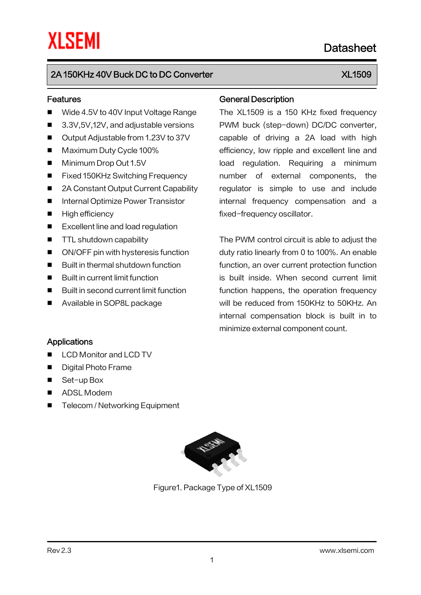# 2A 150KHz 40V Buck DC to DC Converter XX 300 MHz 300 XL1509

#### Features

- Wide 4.5V to 40V Input Voltage Range
- 3.3V,5V,12V, and adjustable versions
- Output Adjustable from 1.23V to 37V
- Maximum Duty Cycle 100%
- Minimum Drop Out 1.5V
- Fixed 150KHz Switching Frequency
- 2A Constant Output Current Capability
- Internal Optimize Power Transistor
- **High efficiency**
- Excellent line and load regulation
- **TTL shutdown capability**
- ON/OFF pin with hysteresis function
- Built in thermal shutdown function
- Built in current limit function
- Built in second current limit function
- Available in SOP8L package

#### General Description

The XL1509 is a 150 KHz fixed frequency PWM buck (step-down) DC/DC converter, capable of driving a 2A load with high efficiency, low ripple and excellent line and load regulation. Requiring a minimum number of external components, the regulator is simple to use and include internal frequency compensation and a fixed-frequency oscillator.

The PWM control circuit is able to adjust the duty ratio linearly from 0 to 100%. An enable function, an over current protection function is built inside. When second current limit function happens, the operation frequency will be reduced from 150KHz to 50KHz. An internal compensation block is built in to minimize external component count.

#### Applications

- LCD Monitor and LCD TV
- Digital Photo Frame
- Set-up Box
- ADSL Modem
- Telecom / Networking Equipment



Figure1. Package Type of XL1509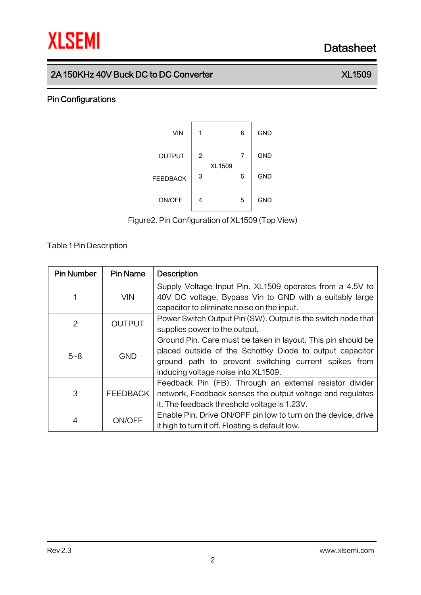## 2A 150KHz 40V Buck DC to DC Converter XL Converter XL1509

### Pin Configurations



Figure2.Pin Configuration of XL1509 (Top View)

Table 1Pin Description

| <b>Pin Number</b> | <b>Pin Name</b> | <b>Description</b>                                            |
|-------------------|-----------------|---------------------------------------------------------------|
|                   |                 | Supply Voltage Input Pin. XL1509 operates from a 4.5V to      |
| 1                 | <b>VIN</b>      | 40V DC voltage. Bypass Vin to GND with a suitably large       |
|                   |                 | capacitor to eliminate noise on the input.                    |
| 2                 | <b>OUTPUT</b>   | Power Switch Output Pin (SW). Output is the switch node that  |
|                   |                 | supplies power to the output.                                 |
|                   | <b>GND</b>      | Ground Pin. Care must be taken in layout. This pin should be  |
| $5 - 8$           |                 | placed outside of the Schottky Diode to output capacitor      |
|                   |                 | ground path to prevent switching current spikes from          |
|                   |                 | inducing voltage noise into XL1509.                           |
|                   |                 | Feedback Pin (FB). Through an external resistor divider       |
| 3                 | <b>FEEDBACK</b> | network, Feedback senses the output voltage and regulates     |
|                   |                 | it. The feedback threshold voltage is 1.23V.                  |
| 4                 | ON/OFF          | Enable Pin. Drive ON/OFF pin low to turn on the device, drive |
|                   |                 | it high to turn it off. Floating is default low.              |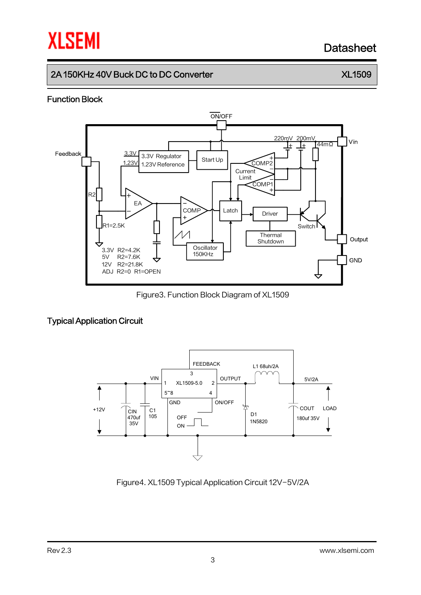# 2A 150KHz 40V Buck DC to DC Converter XX 300 No. 32 No. 32

### Function Block



Figure3. Function Block Diagram of XL1509

# Typical Application Circuit



Figure4. XL1509 Typical Application Circuit 12V-5V/2A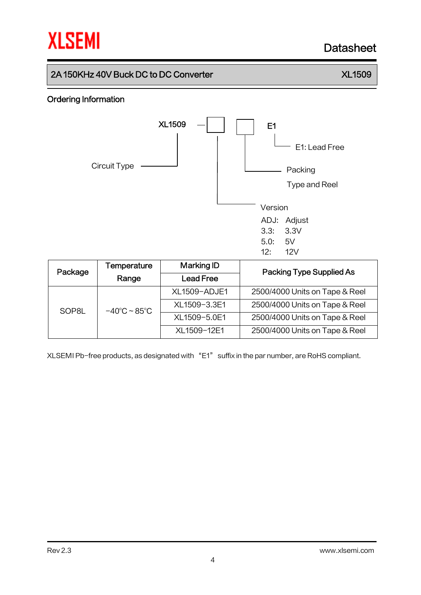# 2A 150KHz 40V Buck DC to DC Converter XL Converter XL1509

## Ordering Information



| Package | Temperature                       | Marking ID          | Packing Type Supplied As       |  |
|---------|-----------------------------------|---------------------|--------------------------------|--|
|         | Range                             | <b>Lead Free</b>    |                                |  |
|         |                                   | <b>XL1509-ADJE1</b> | 2500/4000 Units on Tape & Reel |  |
| SOP8L   | $-40^{\circ}$ C ~ 85 $^{\circ}$ C | XL1509-3.3E1        | 2500/4000 Units on Tape & Reel |  |
|         |                                   | XL1509-5.0E1        | 2500/4000 Units on Tape & Reel |  |
|         |                                   | XL1509-12E1         | 2500/4000 Units on Tape & Reel |  |

XLSEMI Pb-free products, as designated with "E1" suffix in the par number, are RoHS compliant.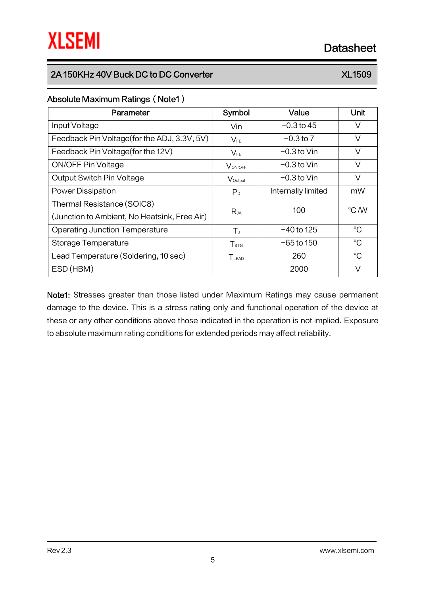# 2A 150KHz 40V Buck DC to DC Converter XX 300 No. 32 No. 32

### Absolute Maximum Ratings (Note1)

| Parameter                                    | Symbol                      | Value              | Unit        |
|----------------------------------------------|-----------------------------|--------------------|-------------|
| Input Voltage                                | Vin                         | $-0.3$ to 45       | V           |
| Feedback Pin Voltage (for the ADJ, 3.3V, 5V) | $V_{FB}$                    | $-0.3$ to 7        | $\vee$      |
| Feedback Pin Voltage (for the 12V)           | $\mathsf{V}_{\mathsf{FB}}$  | $-0.3$ to Vin      | $\vee$      |
| <b>ON/OFF Pin Voltage</b>                    | VON/OFF                     | $-0.3$ to Vin      | V           |
| Output Switch Pin Voltage                    | Voutput                     | $-0.3$ to Vin      | V           |
| <b>Power Dissipation</b>                     | P <sub>D</sub>              | Internally limited | mW          |
| Thermal Resistance (SOIC8)                   |                             | 100                | °C /W       |
| (Junction to Ambient, No Heatsink, Free Air) | Rja                         |                    |             |
| <b>Operating Junction Temperature</b>        | $T_{J}$                     | $-40$ to 125       | $^{\circ}C$ |
| Storage Temperature                          | $\mathsf{T}_{\texttt{STG}}$ | $-65$ to 150       | $^{\circ}C$ |
| Lead Temperature (Soldering, 10 sec)         | TLEAD                       | 260                | $^{\circ}C$ |
| ESD (HBM)                                    |                             | 2000               | V           |

Note1: Stresses greater than those listed under Maximum Ratings may cause permanent damage to the device. This is a stress rating only and functional operation of the device at these or any other conditions above those indicated in the operation is not implied. Exposure to absolute maximum rating conditions for extended periods may affect reliability.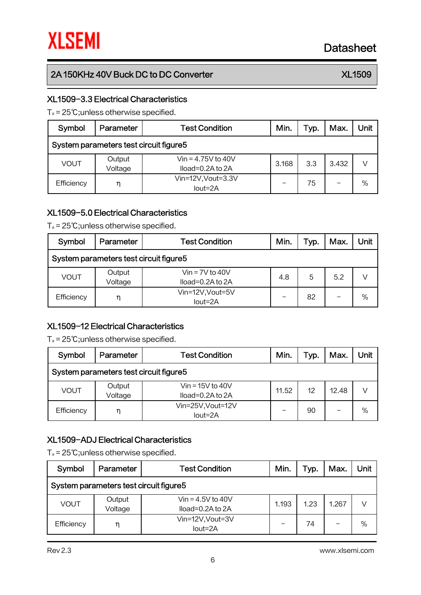# 2A 150KHz 40V Buck DC to DC Converter XX 300 No. 32 No. 32

## XL1509-3.3 Electrical Characteristics

T<sup>a</sup> = 25℃;unless otherwise specified.

| Symbol                                  | Parameter         | <b>Test Condition</b>                          | Min.  | Typ. | Max.  | Unit |  |  |  |  |
|-----------------------------------------|-------------------|------------------------------------------------|-------|------|-------|------|--|--|--|--|
| System parameters test circuit figure 5 |                   |                                                |       |      |       |      |  |  |  |  |
| VOUT                                    | Output<br>Voltage | Vin = $4.75V$ to $40V$<br>$Iload=0.2A$ to $2A$ | 3.168 | 3.3  | 3.432 |      |  |  |  |  |
| Efficiency                              | η                 | Vin=12V, Vout=3.3V<br>$Iout=2A$                |       | 75   |       | $\%$ |  |  |  |  |

### XL1509-5.0 Electrical Characteristics

T<sup>a</sup> = 25℃;unless otherwise specified.

| Symbol                                  | Parameter         | <b>Test Condition</b>                  | Min. | Typ. | Max. | Unit |  |  |  |
|-----------------------------------------|-------------------|----------------------------------------|------|------|------|------|--|--|--|
| System parameters test circuit figure 5 |                   |                                        |      |      |      |      |  |  |  |
| <b>VOUT</b>                             | Output<br>Voltage | $V$ in = 7V to 40V<br>Iload=0.2A to 2A | 4.8  | 5    | 5.2  |      |  |  |  |
| Efficiency                              | η                 | Vin=12V, Vout=5V<br>$Iout=2A$          |      | 82   |      | $\%$ |  |  |  |

### XL1509-12 Electrical Characteristics

T<sup>a</sup> = 25℃;unless otherwise specified.

| Symbol                                 | Parameter         | <b>Test Condition</b>                        | Min.  | Typ. | Max.  | Unit          |  |  |  |
|----------------------------------------|-------------------|----------------------------------------------|-------|------|-------|---------------|--|--|--|
| System parameters test circuit figure5 |                   |                                              |       |      |       |               |  |  |  |
| <b>VOUT</b>                            | Output<br>Voltage | Vin = $15V$ to $40V$<br>$Iload=0.2A$ to $2A$ | 11.52 | 12   | 12.48 |               |  |  |  |
| Efficiency                             | η                 | Vin=25V, Vout=12V<br>lout=2A                 |       | 90   |       | $\frac{0}{0}$ |  |  |  |

### XL1509-ADJ Electrical Characteristics

T<sup>a</sup> = 25℃;unless otherwise specified.

| Symbol                                  | Parameter         | <b>Test Condition</b>                     | Min.  | Typ. | Max.  | Unit          |  |  |  |  |
|-----------------------------------------|-------------------|-------------------------------------------|-------|------|-------|---------------|--|--|--|--|
| System parameters test circuit figure 5 |                   |                                           |       |      |       |               |  |  |  |  |
| VOUT                                    | Output<br>Voltage | Vin = $4.5V$ to $40V$<br>Iload=0.2A to 2A | 1.193 | 1.23 | 1.267 |               |  |  |  |  |
| Efficiency                              | η                 | Vin=12V, Vout=3V<br>$Iout=2A$             |       | 74   |       | $\frac{0}{0}$ |  |  |  |  |

Rev 2.3 www.xlsemi.com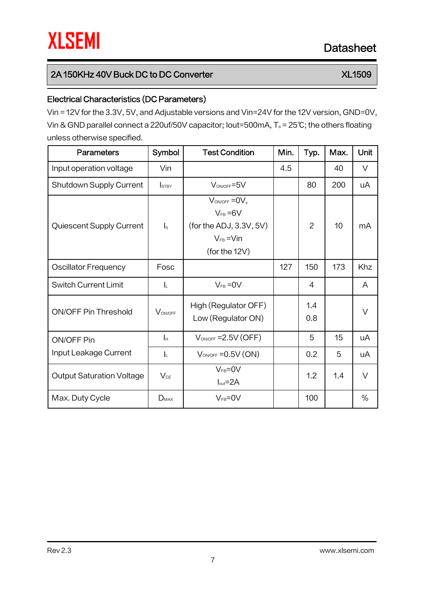# 2A 150KHz 40V Buck DC to DC Converter XL Converter XL1509

# Electrical Characteristics (DC Parameters)

Vin = 12V for the 3.3V, 5V, and Adjustable versions and Vin=24V for the 12V version, GND=0V, Vin & GND parallel connect a 220uf/50V capacitor; Iout=500mA, T<sup>a</sup> = 25℃; the others floating unless otherwise specified.

| <b>Parameters</b>                | Symbol           | <b>Test Condition</b>                                                                                    | Min. | Typ.           | Max. | Unit   |
|----------------------------------|------------------|----------------------------------------------------------------------------------------------------------|------|----------------|------|--------|
| Input operation voltage          | Vin              |                                                                                                          | 4.5  |                | 40   | V      |
| <b>Shutdown Supply Current</b>   | <b>I</b> STBY    | $V_{ON/OFF} = 5V$                                                                                        |      | 80             | 200  | uA     |
| Quiescent Supply Current         | $\mathsf{I}_{q}$ | $V_{ON/OFF} = 0V$ ,<br>$V_{FB} = 6V$<br>(for the ADJ, 3.3V, 5V)<br>$V_{FB} = V \cdot V$<br>(for the 12V) |      | $\overline{2}$ | 10   | mA     |
| <b>Oscillator Frequency</b>      | Fosc             |                                                                                                          | 127  | 150            | 173  | Khz    |
| <b>Switch Current Limit</b>      | IL.              | $V_{FB} = 0V$                                                                                            |      | $\overline{4}$ |      | A      |
| <b>ON/OFF Pin Threshold</b>      | VON/OFF          | High (Regulator OFF)<br>Low (Regulator ON)                                                               |      | 1.4<br>0.8     |      | $\vee$ |
| ON/OFF Pin                       | Iн               | $V_{ON/OFF}$ = 2.5V (OFF)                                                                                |      | 5              | 15   | uA     |
| Input Leakage Current            | IL.              | $V_{ON/OFF} = 0.5V (ON)$                                                                                 |      | 0.2            | 5    | uA     |
| <b>Output Saturation Voltage</b> | $V_{CE}$         | $V_{FB} = 0V$<br>$Iout=2A$                                                                               |      | 1.2            | 1.4  | V      |
| Max. Duty Cycle                  | $D_{MAX}$        | $V_{FB} = 0V$                                                                                            |      | 100            |      | $\%$   |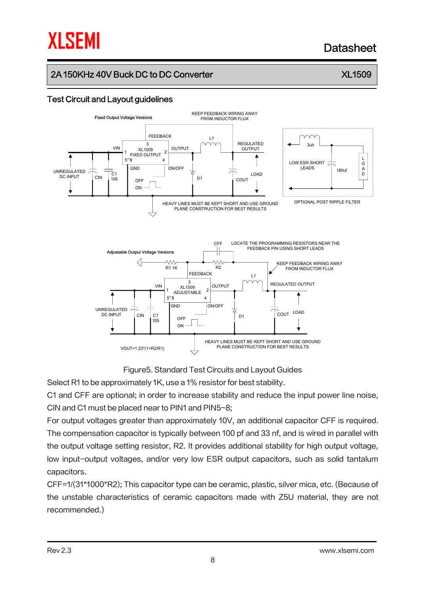# **XLSEMI**

# **Datasheet**

# 2A 150KHz 40V Buck DC to DC Converter X Andrew XL1509

### Test Circuit and Layout guidelines





Figure5. Standard Test Circuits and Layout Guides

Select R1 to be approximately 1K, use a 1% resistor for best stability.

C1 and CFF are optional; in order to increase stability and reduce the input power line noise, CIN and C1 must be placed near to PIN1 and PIN5~8;

For output voltages greater than approximately 10V, an additional capacitor CFF is required. The compensation capacitor is typically between 100 pf and 33 nf, and is wired in parallel with the output voltage setting resistor, R2. It provides additional stability for high output voltage, low input-output voltages, and/or very low ESR output capacitors, such as solid tantalum capacitors.

CFF=1/(31\*1000\*R2); This capacitor type can be ceramic, plastic, silver mica, etc. (Because of the unstable characteristics of ceramic capacitors made with Z5U material, they are not recommended.)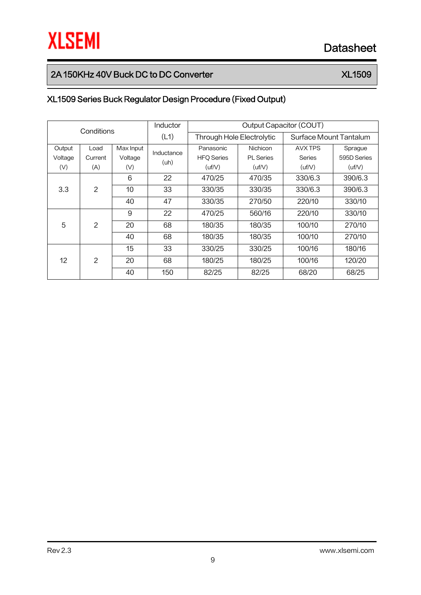# 2A 150KHz 40V Buck DC to DC Converter XL Converter XL1509

# XL1509 Series Buck Regulator Design Procedure (Fixed Output)

| Conditions           |                |           | <b>Inductor</b> | Output Capacitor (COUT)   |                  |                        |             |  |
|----------------------|----------------|-----------|-----------------|---------------------------|------------------|------------------------|-------------|--|
|                      |                |           | (L1)            | Through Hole Electrolytic |                  | Surface Mount Tantalum |             |  |
| Output               | Load           | Max Input | Inductance      | Panasonic                 | Nichicon         | AVX TPS                | Sprague     |  |
| Voltage              | Current        | Voltage   |                 | <b>HFQ Series</b>         | <b>PL</b> Series | <b>Series</b>          | 595D Series |  |
| (V)                  | (A)            | (V)       | (uh)            | (uf/V)                    | (uf/V)           | (uf/V)                 | (uf/V)      |  |
|                      |                | 6         | 22              | 470/25                    | 470/35           | 330/6.3                | 390/6.3     |  |
| $\mathcal{P}$<br>3.3 | 10             | 33        | 330/35          | 330/35                    | 330/6.3          | 390/6.3                |             |  |
|                      |                | 40        | 47              | 330/35                    | 270/50           | 220/10                 | 330/10      |  |
|                      |                | 9         | 22              | 470/25                    | 560/16           | 220/10                 | 330/10      |  |
| 5                    | $\overline{2}$ | 20        | 68              | 180/35                    | 180/35           | 100/10                 | 270/10      |  |
|                      |                | 40        | 68              | 180/35                    | 180/35           | 100/10                 | 270/10      |  |
|                      |                | 15        | 33              | 330/25                    | 330/25           | 100/16                 | 180/16      |  |
| 12                   | 2              | 20        | 68              | 180/25                    | 180/25           | 100/16                 | 120/20      |  |
|                      |                | 40        | 150             | 82/25                     | 82/25            | 68/20                  | 68/25       |  |

9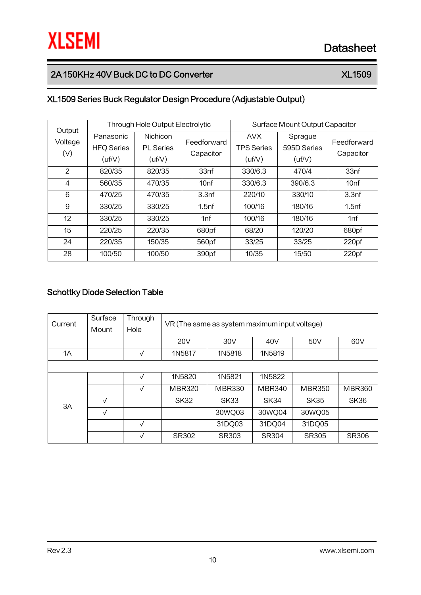# 2A 150KHz 40V Buck DC to DC Converter XL Converter XL1509

# XL1509 Series Buck Regulator Design Procedure (Adjustable Output)

| Output  |                   | Through Hole Output Electrolytic |                   | Surface Mount Output Capacitor |             |                   |  |
|---------|-------------------|----------------------------------|-------------------|--------------------------------|-------------|-------------------|--|
| Voltage | Panasonic         | <b>Nichicon</b>                  | Feedforward       | <b>AVX</b>                     | Sprague     | Feedforward       |  |
| (V)     | <b>HFQ Series</b> | <b>PL</b> Series                 | Capacitor         | <b>TPS Series</b>              | 595D Series | Capacitor         |  |
|         | (uf/V)            | (uf/V)                           |                   | (uf/V)                         | (uf/V)      |                   |  |
| 2       | 820/35            | 820/35                           | 33nf              | 330/6.3                        | 470/4       | 33nf              |  |
| 4       | 560/35            | 470/35                           | 10 <sub>nf</sub>  | 330/6.3                        | 390/6.3     | 10 <sub>nf</sub>  |  |
| 6       | 470/25            | 470/35                           | 3.3 <sub>nf</sub> | 220/10                         | 330/10      | 3.3 <sub>nf</sub> |  |
| 9       | 330/25            | 330/25                           | 1.5 <sub>nf</sub> | 100/16                         | 180/16      | 1.5 <sub>nf</sub> |  |
| 12      | 330/25            | 330/25                           | 1nf               | 100/16                         | 180/16      | 1nf               |  |
| 15      | 220/25            | 220/35                           | 680pf             | 68/20                          | 120/20      | 680pf             |  |
| 24      | 220/35            | 150/35                           | 560pf             | 33/25                          | 33/25       | 220 <sub>pf</sub> |  |
| 28      | 100/50            | 100/50                           | 390pf             | 10/35                          | 15/50       | 220pf             |  |

### Schottky Diode Selection Table

| Current | Surface      | Through      |               | VR (The same as system maximum input voltage) |               |               |               |  |  |
|---------|--------------|--------------|---------------|-----------------------------------------------|---------------|---------------|---------------|--|--|
|         | Mount        | Hole         |               |                                               |               |               |               |  |  |
|         |              |              | <b>20V</b>    | 30V<br>40V<br>50 <sub>V</sub><br>60V          |               |               |               |  |  |
| 1A      |              | V            | 1N5817        | 1N5818                                        | 1N5819        |               |               |  |  |
|         |              |              |               |                                               |               |               |               |  |  |
|         |              | $\checkmark$ | 1N5820        | 1N5821                                        | 1N5822        |               |               |  |  |
|         |              | $\checkmark$ | <b>MBR320</b> | <b>MBR330</b>                                 | <b>MBR340</b> | <b>MBR350</b> | <b>MBR360</b> |  |  |
| 3A      | $\sqrt{ }$   |              | <b>SK32</b>   | <b>SK33</b>                                   | SK34          | <b>SK35</b>   | SK36          |  |  |
|         | $\checkmark$ |              |               | 30WQ03                                        | 30WQ04        | 30WQ05        |               |  |  |
|         |              | $\checkmark$ |               | 31DQ03                                        | 31DQ04        | 31DQ05        |               |  |  |
|         |              | V            | <b>SR302</b>  | <b>SR303</b>                                  | <b>SR304</b>  | <b>SR305</b>  | <b>SR306</b>  |  |  |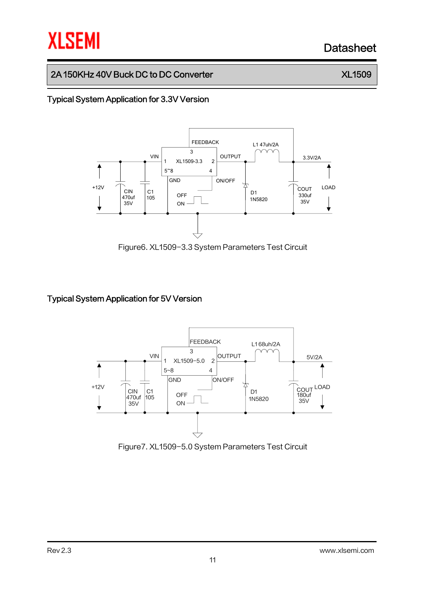# 2A 150KHz 40V Buck DC to DC Converter XX 300 No. 32 No. 32

## Typical System Application for 3.3V Version



Figure6. XL1509-3.3 System Parameters Test Circuit

### Typical System Application for 5V Version



Figure7. XL1509-5.0 System Parameters Test Circuit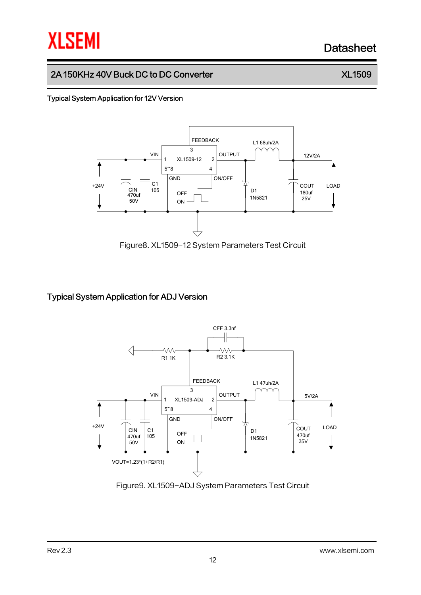# 2A 150KHz 40V Buck DC to DC Converter XX 300 No. 32 No. 32

#### Typical System Application for 12V Version



Figure8. XL1509-12 System Parameters Test Circuit

### Typical System Application for ADJ Version



Figure9. XL1509-ADJ System Parameters Test Circuit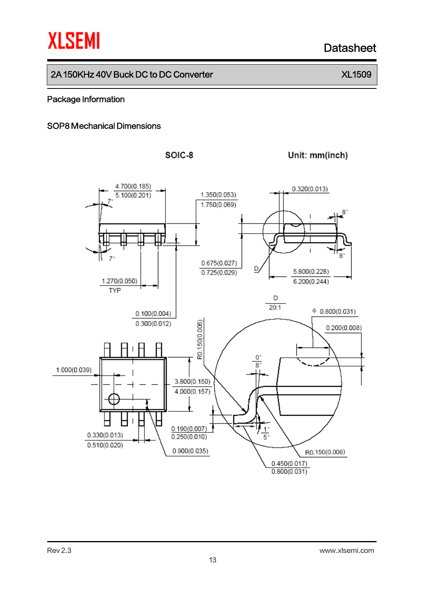## 2A 150KHz 40V Buck DC to DC Converter XX 300 No. 32 No. 32

#### Package Information

#### SOP8 Mechanical Dimensions





Unit: mm(inch)